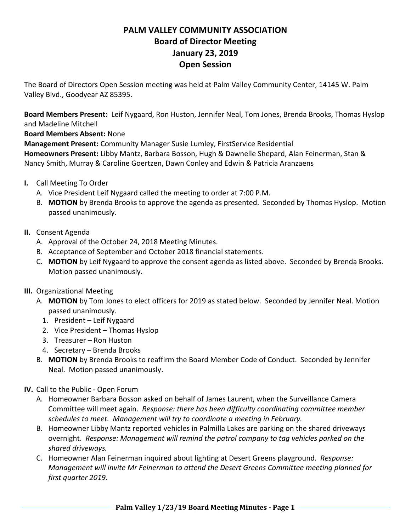# **PALM VALLEY COMMUNITY ASSOCIATION Board of Director Meeting January 23, 2019 Open Session**

The Board of Directors Open Session meeting was held at Palm Valley Community Center, 14145 W. Palm Valley Blvd., Goodyear AZ 85395.

**Board Members Present:** Leif Nygaard, Ron Huston, Jennifer Neal, Tom Jones, Brenda Brooks, Thomas Hyslop and Madeline Mitchell

**Board Members Absent:** None

**Management Present:** Community Manager Susie Lumley, FirstService Residential

**Homeowners Present:** Libby Mantz, Barbara Bosson, Hugh & Dawnelle Shepard, Alan Feinerman, Stan & Nancy Smith, Murray & Caroline Goertzen, Dawn Conley and Edwin & Patricia Aranzaens

- **I.** Call Meeting To Order
	- A. Vice President Leif Nygaard called the meeting to order at 7:00 P.M.
	- B. **MOTION** by Brenda Brooks to approve the agenda as presented. Seconded by Thomas Hyslop. Motion passed unanimously.

## **II.** Consent Agenda

- A. Approval of the October 24, 2018 Meeting Minutes.
- B. Acceptance of September and October 2018 financial statements.
- C. **MOTION** by Leif Nygaard to approve the consent agenda as listed above. Seconded by Brenda Brooks. Motion passed unanimously.
- **III.** Organizational Meeting
	- A. **MOTION** by Tom Jones to elect officers for 2019 as stated below. Seconded by Jennifer Neal. Motion passed unanimously.
		- 1. President Leif Nygaard
		- 2. Vice President Thomas Hyslop
		- 3. Treasurer Ron Huston
		- 4. Secretary Brenda Brooks
	- B. **MOTION** by Brenda Brooks to reaffirm the Board Member Code of Conduct. Seconded by Jennifer Neal. Motion passed unanimously.

## **IV.** Call to the Public ‐ Open Forum

- A. Homeowner Barbara Bosson asked on behalf of James Laurent, when the Surveillance Camera Committee will meet again. *Response: there has been difficulty coordinating committee member schedules to meet. Management will try to coordinate a meeting in February.*
- B. Homeowner Libby Mantz reported vehicles in Palmilla Lakes are parking on the shared driveways overnight. *Response: Management will remind the patrol company to tag vehicles parked on the shared driveways.*
- C. Homeowner Alan Feinerman inquired about lighting at Desert Greens playground. *Response: Management will invite Mr Feinerman to attend the Desert Greens Committee meeting planned for first quarter 2019.*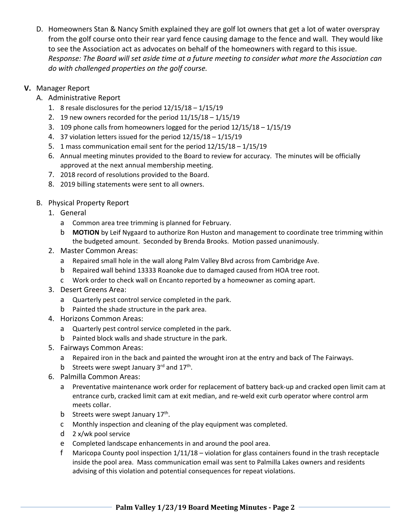D. Homeowners Stan & Nancy Smith explained they are golf lot owners that get a lot of water overspray from the golf course onto their rear yard fence causing damage to the fence and wall. They would like to see the Association act as advocates on behalf of the homeowners with regard to this issue. *Response: The Board will set aside time at a future meeting to consider what more the Association can do with challenged properties on the golf course.*

#### **V.** Manager Report

- A. Administrative Report
	- 1. 8 resale disclosures for the period  $12/15/18 1/15/19$
	- 2. 19 new owners recorded for the period 11/15/18 1/15/19
	- 3. 109 phone calls from homeowners logged for the period 12/15/18 1/15/19
	- 4. 37 violation letters issued for the period 12/15/18 1/15/19
	- 5. 1 mass communication email sent for the period 12/15/18 1/15/19
	- 6. Annual meeting minutes provided to the Board to review for accuracy. The minutes will be officially approved at the next annual membership meeting.
	- 7. 2018 record of resolutions provided to the Board.
	- 8. 2019 billing statements were sent to all owners.
- B. Physical Property Report
	- 1. General
		- a Common area tree trimming is planned for February.
		- b **MOTION** by Leif Nygaard to authorize Ron Huston and management to coordinate tree trimming within the budgeted amount. Seconded by Brenda Brooks. Motion passed unanimously.
	- 2. Master Common Areas:
		- a Repaired small hole in the wall along Palm Valley Blvd across from Cambridge Ave.
		- b Repaired wall behind 13333 Roanoke due to damaged caused from HOA tree root.
		- c Work order to check wall on Encanto reported by a homeowner as coming apart.
	- 3. Desert Greens Area:
		- a Quarterly pest control service completed in the park.
		- b Painted the shade structure in the park area.
	- 4. Horizons Common Areas:
		- a Quarterly pest control service completed in the park.
		- b Painted block walls and shade structure in the park.
	- 5. Fairways Common Areas:
		- a Repaired iron in the back and painted the wrought iron at the entry and back of The Fairways.
		- b Streets were swept January  $3^{rd}$  and  $17^{th}$ .
	- 6. Palmilla Common Areas:
		- a Preventative maintenance work order for replacement of battery back-up and cracked open limit cam at entrance curb, cracked limit cam at exit median, and re-weld exit curb operator where control arm meets collar.
		- b Streets were swept January 17<sup>th</sup>.
		- c Monthly inspection and cleaning of the play equipment was completed.
		- d 2 x/wk pool service
		- e Completed landscape enhancements in and around the pool area.
		- f Maricopa County pool inspection 1/11/18 violation for glass containers found in the trash receptacle inside the pool area. Mass communication email was sent to Palmilla Lakes owners and residents advising of this violation and potential consequences for repeat violations.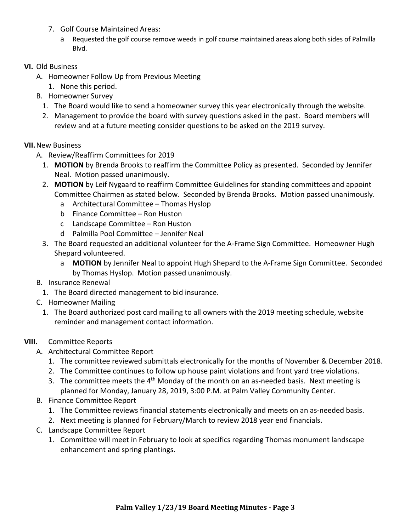- 7. Golf Course Maintained Areas:
	- a Requested the golf course remove weeds in golf course maintained areas along both sides of Palmilla Blvd.

### **VI.** Old Business

- A. Homeowner Follow Up from Previous Meeting
	- 1. None this period.
- B. Homeowner Survey
	- 1. The Board would like to send a homeowner survey this year electronically through the website.
	- 2. Management to provide the board with survey questions asked in the past. Board members will review and at a future meeting consider questions to be asked on the 2019 survey.

#### **VII.**New Business

- A. Review/Reaffirm Committees for 2019
	- 1. **MOTION** by Brenda Brooks to reaffirm the Committee Policy as presented. Seconded by Jennifer Neal. Motion passed unanimously.
	- 2. **MOTION** by Leif Nygaard to reaffirm Committee Guidelines for standing committees and appoint Committee Chairmen as stated below. Seconded by Brenda Brooks. Motion passed unanimously.
		- a Architectural Committee Thomas Hyslop
		- b Finance Committee Ron Huston
		- c Landscape Committee Ron Huston
		- d Palmilla Pool Committee Jennifer Neal
	- 3. The Board requested an additional volunteer for the A‐Frame Sign Committee. Homeowner Hugh Shepard volunteered.
		- a **MOTION** by Jennifer Neal to appoint Hugh Shepard to the A‐Frame Sign Committee. Seconded by Thomas Hyslop. Motion passed unanimously.
- B. Insurance Renewal
	- 1. The Board directed management to bid insurance.
- C. Homeowner Mailing
	- 1. The Board authorized post card mailing to all owners with the 2019 meeting schedule, website reminder and management contact information.

## **VIII.** Committee Reports

- A. Architectural Committee Report
	- 1. The committee reviewed submittals electronically for the months of November & December 2018.
	- 2. The Committee continues to follow up house paint violations and front yard tree violations.
	- 3. The committee meets the  $4<sup>th</sup>$  Monday of the month on an as-needed basis. Next meeting is planned for Monday, January 28, 2019, 3:00 P.M. at Palm Valley Community Center.
- B. Finance Committee Report
	- 1. The Committee reviews financial statements electronically and meets on an as‐needed basis.
	- 2. Next meeting is planned for February/March to review 2018 year end financials.
- C. Landscape Committee Report
	- 1. Committee will meet in February to look at specifics regarding Thomas monument landscape enhancement and spring plantings.